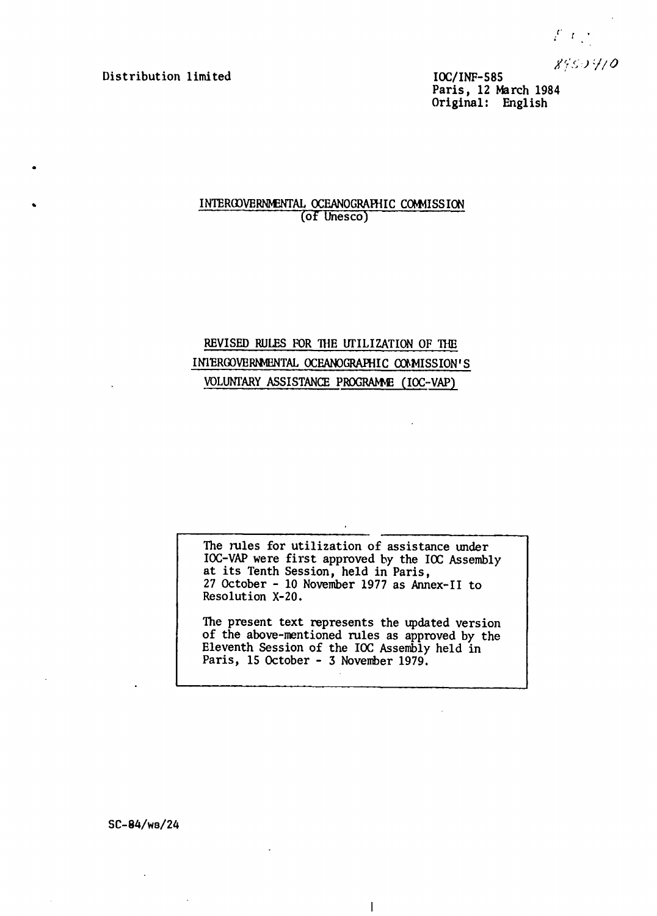Distribution limited

8950410 IOC/INF-585 Paris, <sup>12</sup> March 1984 Original: English

 $\mathcal{E}(\mathcal{X}_\infty)$ 

## INTERGOVERNMENTAL OCEANOGRAffllC COMMISSION (of Unesco)

# REVISED RULES FOR THE UTILIZATION OF THE INTERGOVERNMENTAL OCEANOGRAPHIC COMMISSION'S VOLUNTARY ASSISTANCE PROGRANME (IOC-VAP)

The rules for utilization of assistance under IOC-VAP were first approved by the IOC Assembly at its Tenth Session, held in Paris, 27 October - IO November 1977 as Annex-II to Resolution X-20.

The present text represents the updated version of the above-mentioned rules as approved by the Eleventh Session of the IOC Assembly held in Paris, 15 October - 3 November 1979.

 $\mathbf{I}$ 

SC-84/WS/24

 $\ddot{\phantom{0}}$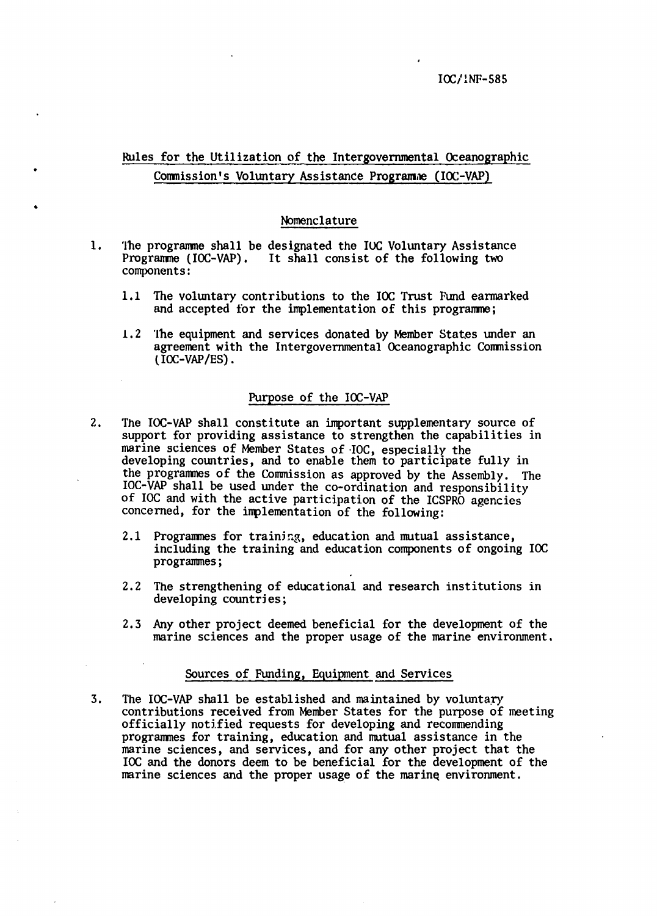## Rules for the Utilization of the Intergovernmental Oceanographic Commission's Voluntary Assistance Programme (IOC-VAP)

#### Nomenclature

- 1. 'lhe programme shall be designated the IOC Voluntary Assistance Programme (IOC-VAP). It shall consist of the following two components:
	- 1.1 The voluntary contributions to the IOC Trust Fund earmarked and accepted for the implementation of this programme;
	- 1.2 'lhe equipment and services donated by Member States under an agreement with the Intergovernmental Oceanographic Commission (IOC-VAP/ES).

### Purpose of the IOC-VAP

- 2. The IOC-VAP shall constitute an important supplementary source of support for providing assistance to strengthen the capabilities in marine sciences of Member States of IOC, especially the developing countries, and to enable them to participate fully in the programmes of the Commission as approved by the Assembly. The IOC-VAP shall be used under the co-ordination and responsibility of IOC and with the active participation of the ICSPRO agencies concerned, for the inplementation of the following:
	- 2.1 Programmes for training, education and mutual assistance, including the training and education components of ongoing IOC programmes ;
	- 2.2 The strengthening of educational and research institutions in developing countries;
	- 2.3 Any other project deemed beneficial for the development of the marine sciences and the proper usage of the marine environment.

#### Sources of Funding, Equipment and Services

3. The IOC-VAP shall be established and maintained by voluntary contributions received from Member States for the purpose of meeting officially notified requests for developing and recommending programmes for training, education and mutual assistance in the marine sciences, and services, and for any other project that the IOC and the donors deem to be beneficial for the development of the marine sciences and the proper usage of the marine environment.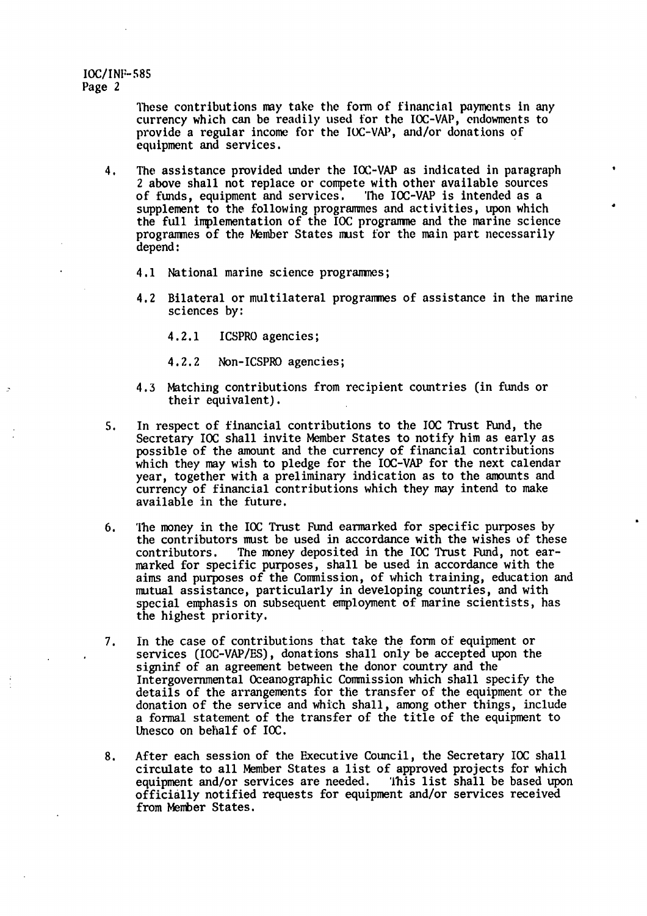> These contributions may take the form of financial payments in any currency which can be readily used for the IOC-VAP, endowments to provide a regular income for the IOC-VAP, and/or donations of equipment and services.

- 4. The assistance provided under the IOC-VAP as indicated in paragraph <sup>2</sup> above shall not replace or compete with other available sources of funds, equipment and services. The IOC-VAP is intended as a supplement to the following programmes and activities, upon which the full inplementation of the IOC programme and the marine science programmes of the Member States must for the main part necessarily depend :
	- 4.1 National marine science programmes;
	- 4.2 Bilateral or multilateral programmes of assistance in the marine sciences by:
		- 4.2.1 ICSPRO agencies;
		- 4.2.2 Non-ICSPRO agencies;
	- 4.3 Matching contributions from recipient countries (in funds or their equivalent).
- 5. In respect of financial contributions to the IOC Trust Fund, the Secretary IOC shall invite Member States to notify him as early as possible of the amount and the currency of financial contributions which they may wish to pledge for the IOC-VAP for the next calendar year, together with a preliminary indication as to the amounts and currency of financial contributions which they may intend to make available in the future.
- 6. The money in the IOC Trust Fund earmarked for specific purposes by the contributors must be used in accordance with the wishes of these contributors. The money deposited in the IOC Trust Fund, not ear-The money deposited in the IOC Trust Fund, not earmarked for specific purposes, shall be used in accordance with the aims and purposes of the Commission, of which training, education and mutual assistance, particularly in developing countries, and with special emphasis on subsequent employment of marine scientists, has the highest priority.
- 7. In the case of contributions that take the form of equipment or . services (IOC-VAP/ES), donations shall only be accepted upon the signinf of an agreement between the donor country and the Intergovernmental Oceanographic Commission which shall specify the details of the arrangements for the transfer of the equipment or the donation of the service and which shall, among other things, include <sup>a</sup> formal statement of the transfer of the title of the equipment to Unesco on behalf of IOC.
- 8. After each session of the Executive Council, the Secretary IOC shall circulate to ali Member States <sup>a</sup> list of approved projects for which equipment and/or services are needed. This list shall be based upon officially notified requests for equipment and/or services received from Member States.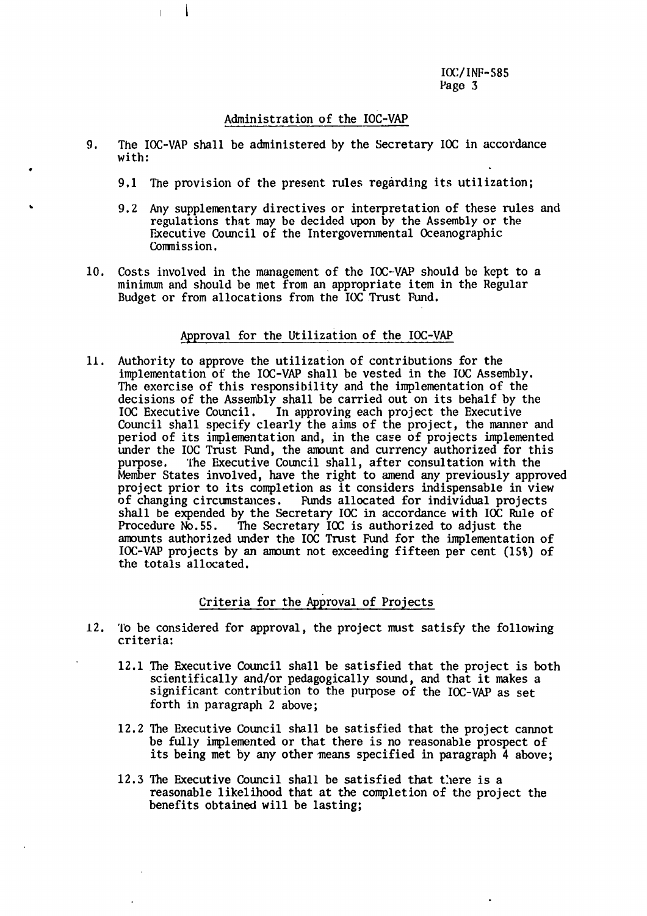## Administration of the IOC-VAP

- 9. The IOC-VAP shall be administered by the Secretary IOC in accordance with:
	- 9.1 The provision of the present rules regarding its utilization;
	- 9.2 Any supplementary directives or interpretation of these rules and regulations that may be decided upon by the Assembly or the Executive Council of the Intergovernmental Oceanographic Comnission.
- 10. Costs involved in the management of the IOC-VAP should be kept to a minimum and should be met from an appropriate item in the Regular Budget or from allocations from the IOC Trust Fund.

#### Approval for the Utilization of the IOC-VAP

11. Authority to approve the utilization of contributions for the implementation of the IOC-VAP shall be vested in the IOC Assembly. The exercise of this responsibility and the implementation of the decisions of the Assembly shall be carried out on its behalf by the IOC Executive Council. In approving each project the Executive In approving each project the Executive Council shall specify clearly the aims of the project, the manner and period of its inplementation and, in the case of projects implemented under the IOC Trust Fund, the amount and currency authorized for this purpose. The Executive Council shall, after consultation with the The Executive Council shall, after consultation with the Member States involved, have the right to amend any previously approved project prior to its completion as it considers indispensable in view of changing circumstances. Funds allocated for individual projects shall be expended by the Secretary IOC in accordance with IOC Rule of Procedure No.55. The Secretary IOC is authorized to adjust the amounts authorized under the IOC Trust Fund for the implementation of IOC-VAP projects by an amount not exceeding fifteen per cent (151) of the totals allocated.

#### Criteria for the Approval of Projects

- 12. To be considered for approval, the project must satisfy the following criteria:
	- 12.1 The Executive Council shall be satisfied that the project is both scientifically and/or pedagogically sound, and that it makes <sup>a</sup> significant contribution to the purpose of the IOC-VAP as set forth in paragraph <sup>2</sup> above;
	- 12.2 The Executive Council shall be satisfied that the project cannot be fully implemented or that there is no reasonable prospect of its being met by any other means specified in paragraph <sup>4</sup> above;
	- 12.3 The Executive Council shall be satisfied that there is a reasonable likelihood that at the completion of the project the benefits obtained will be lasting;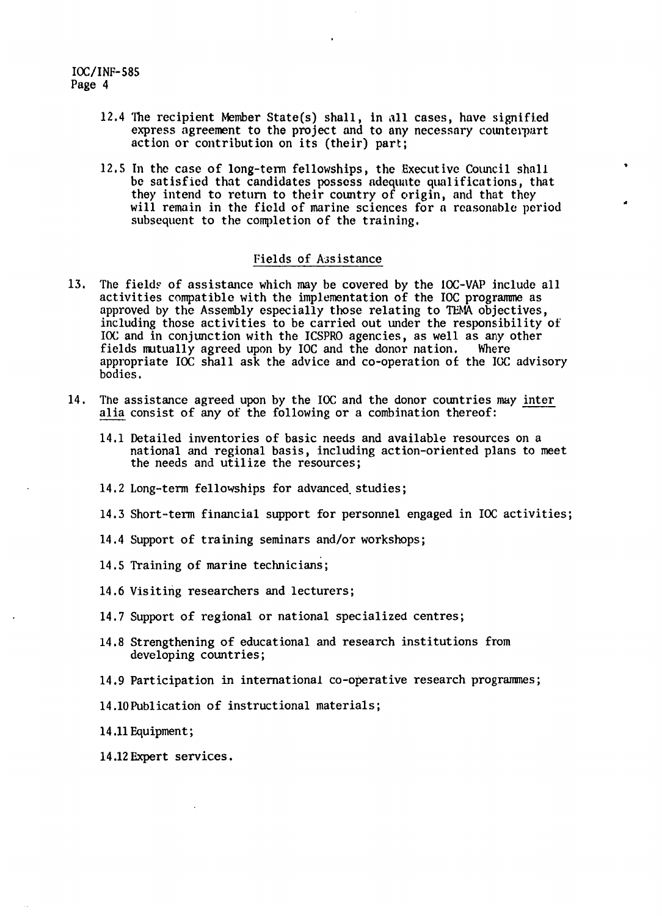- 12.4 The recipient Member State(s) shall, in ali cases, have signified express agreement to the project and to any necessary counterpart action or contribution on its (their) part;
- 12.5 In the case of long-term fellowships, the Executive Council shall be satisfied that candidates possess adequate qualifications, that they intend to return to their country of origin, and that they will remain in the field of marine sciences for a reasonable period subsequent to the completion of the training.

#### Fields of Assistance

- 13. The fields of assistance which may be covered by the IOC-VAP include ali activities compatible with the implementation of the IOC programme as approved by the Assembly especially those relating to TEMA objectives, including those activities to be carried out under the responsibility of IOC and in conjunction with the ICSPRO agencies, as well as any other fields mutually agreed upon by IOC and the donor nation. Where fields mutually agreed upon by IOC and the donor nation. appropriate IOC shall ask the advice and co-operation of the IOC advisory bodies.
- 14. The assistance agreed upon by the IOC and the donor countries may inter alia consist of any of the following or a combination thereof:
	- 14.1 Detailed inventories of basic needs and available resources on a national and regional basis, including action-oriented plans to meet the needs and utilize the resources;
	- 14.2 Long-term fellowships for advanced studies;
	- 14.3 Short-term financial support for personnel engaged in IOC activities
	- 14.4 Support of training seminars and/or workshops;
	- 14.5 Training of marine technicians;
	- 14.6 Visiting researchers and lecturers;
	- 14.7 Support of regional or national specialized centres;
	- 14.8 Strengthening of educational and research institutions from developing countries;
	- 14.9 Participation in international co-operative research programmes;
	- 14.IO Publication of instructional materials;
	- 14.11 Equipment;
	- 14.12Expert services.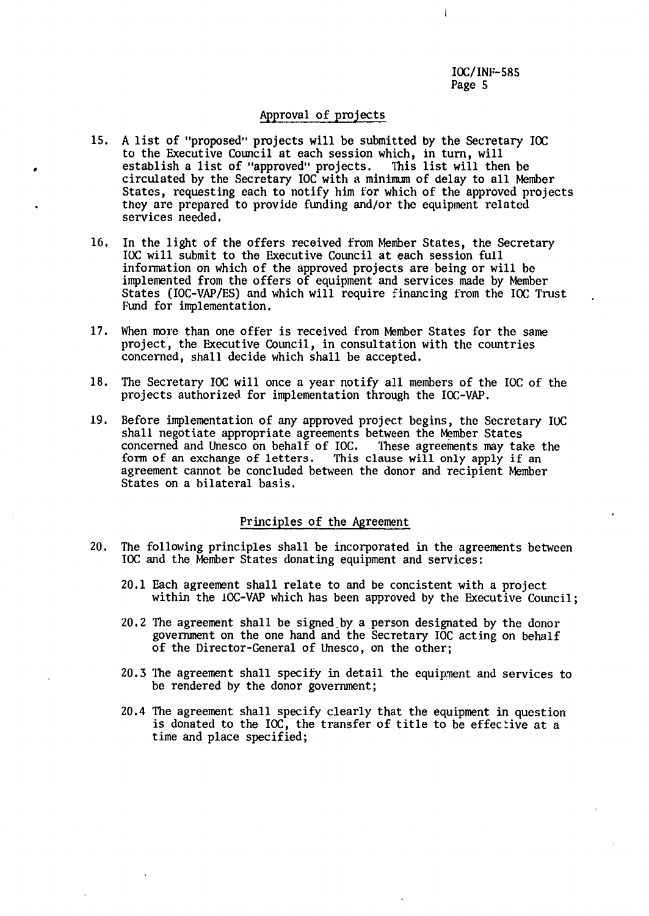$\overline{\phantom{a}}$ 

#### Approval of projects

- 15. <sup>A</sup> list of "proposed" projects will be submitted by the Secretary IOC to the Executive Council at each session which, in turn, will establish a list of "approved" projects. This list will then be circulated by the Secretary IOC with a minimum of delay to ali Member States, requesting each to notify him for which of the approved projects they are prepared to provide funding and/or the equipment related services needed.
- 16. In the light of the offers received from Member States, the Secretary IOC will submit to the Executive Council at each session full information on which of the approved projects are being or will be implemented from the offers of equipment and services made by Member States (IOC-VAP/ES) and which will require financing from the IOC Trust Fund for implementation.
- 17. When more than one offer is received from Member States for the same project, the Executive Council, in consultation with the countries concerned, shall decide which shall be accepted.
- 18. The Secretary IOC will once a year notify ali members of the IOC of the projects authorized for implementation through the IOC-VAP.
- 19. Before implementation of any approved project begins, the Secretary IOC shall negotiate appropriate agreements between the Member States concerned and Unesco on behalf of IOC. These agreements may take the concerned and Unesco on behalf of IOC.<br>form of an exchange of letters. This This clause will only apply if an agreement cannot be concluded between the donor and recipient Member States on a bilateral basis.

#### Principles of the Agreement

- 20. The following principles shall be incorporated in the agreements between IOC and the Member States donating equipment and services:
	- 20.1 Each agreement shall relate to and be concistent with a project within the IOC-VAP which has been approved by the Executive Council;
	- 20.2 The agreement shall be signed.by a person designated by the donor government on the one hand and the Secretary IOC acting on behalf of the Director-General of Unesco, on the other;
	- 20.3 The agreement shall specify in detail the equipment and services to be rendered by the donor government;
	- 20.4 The agreement shall specify clearly that the equipment in question is donated to the IOC, the transfer of title to be effective at <sup>a</sup> time and place specified;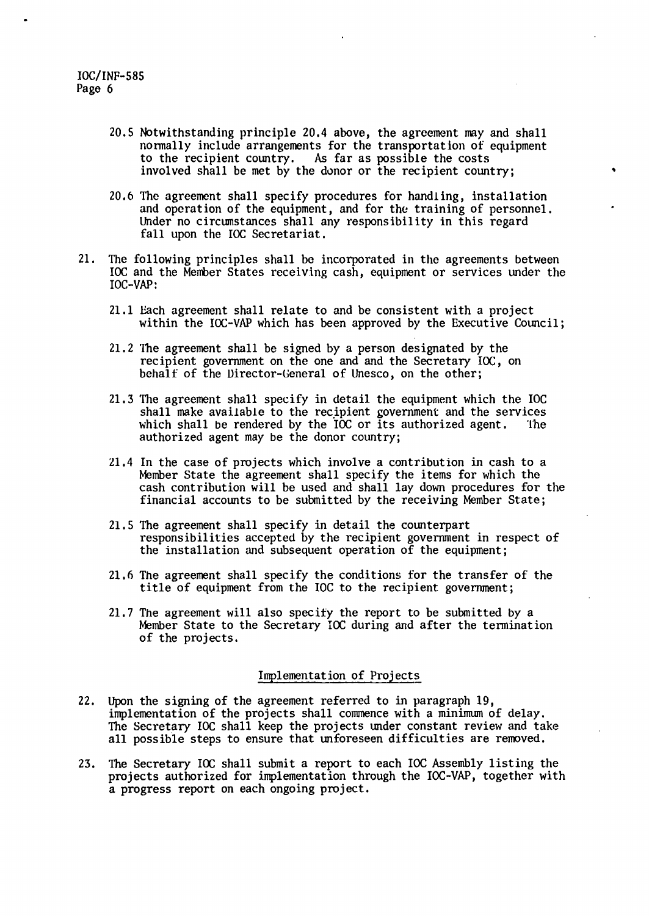- 20.5 Notwithstanding principle 20.4 above, the agreement may and shall normally include arrangements for the transportation of equipment to the recipient country. As far as possible the costs involved shall be met by the donor or the recipient country;
- 20.6 The agreement shall specify procedures for handling, installation and operation of the equipment, and for the training of personnel. Under no circumstances shall any responsibility in this regard fall upon the IOC Secretariat.
- 21. The following principles shall be incorporated in the agreements between IOC and the Member States receiving cash, equipment or services under the IOC-VAP:
	- 21.1 Each agreement shall relate to and be consistent with a project within the IOC-VAP which has been approved by the Executive Council;
	- 21.2 The agreement shall be signed by a person designated by the recipient government on the one and and the Secretary IOC, on behalf of the Director-General of Unesco, on the other;
	- 21.3 'The agreement shall specify in detail the equipment which the IOC shall make available to the recipient government and the services<br>which shall be rendered by the IOC or its authorized agent. The which shall be rendered by the  $\overline{IC}$  or its authorized agent. authorized agent may be the donor country;
	- 21.4 In the case of projects which involve a contribution in cash to a Member State the agreement shall specify the items for which the cash contribution will be used and shall lay down procedures for the financial accounts to be submitted by the receiving Member State;
	- 21.5 The agreement shall specify in detail the counterpart responsibilities accepted by the recipient government in respect of the installation and subsequent operation of the equipment;
	- 21.6 The agreement shall specify the conditions for the transfer of the title of equipment from the IOC to the recipient government;
	- 21.7 The agreement will aiso specify the report to be submitted by a Member State to the Secretary IOC during and after the termination of the projects.

#### Implementation of Projects

- 22. Upon the signing of the agreement referred to in paragraph 19, implementation of the projects shall commence with a minimum of delay. The Secretary IOC shall keep the projects under constant review and take ali possible steps to ensure that unforeseen difficulties are removed.
- 23. The Secretary IOC shall submit a report to each IOC Assembly listing the projects authorized for inplementation through the IOC-VAP, together with a progress report on each ongoing project.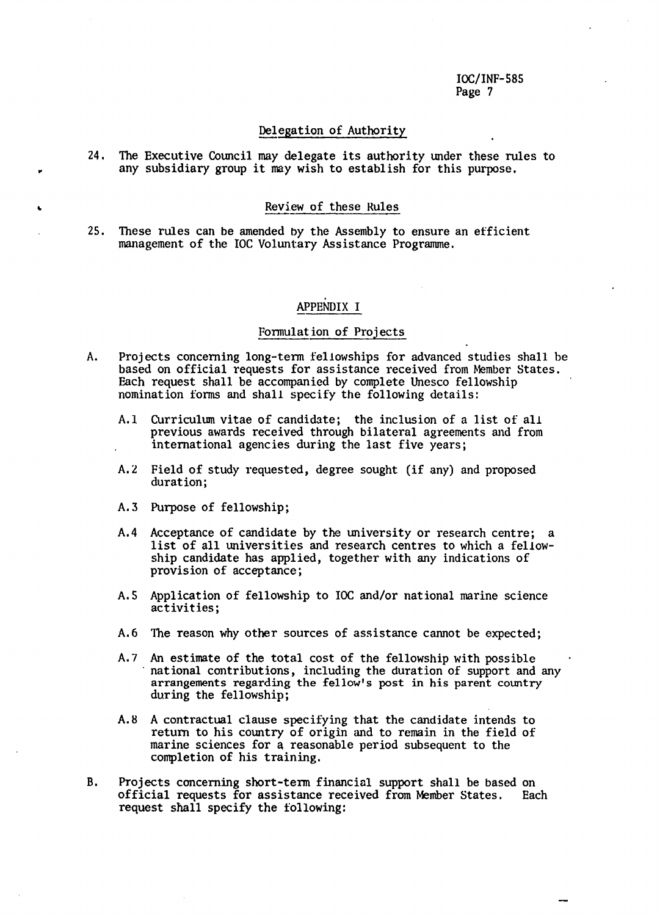## Delegation of Authority

24. The Executive Council may delegate its authority under these rules to any subsidiary group it may wish to establish for this purpose.

#### Review of these Rules

25. These rules can be amended by the Assembly to ensure an efficient management of the IOC Voluntary Assistance Programme.

## APPENDIX I

## Formulation of Projects

- A. Projects concerning long-term fellowships for advanced studies shall be based on official requests for assistance received from Member States. Each request shall be accompanied by complete Unesco fellowship nomination forms and shall specify the following details:
	- A.l Curriculum vitae of candidate; the inclusion of <sup>a</sup> list of ali previous awards received through bilateral agreements and from . international agencies during the last five years;
	- A. <sup>2</sup> Field of study requested, degree sought (if any) and proposed duration;
	- A.3 Purpose of fellowship;
	- A.4 Acceptance of candidate by the university or research centre; a list of ali universities and research centres to which <sup>a</sup> fellowship candidate has applied, together with any indications of provision of acceptance;
	- A.5 Application of fellowship to IOC and/or national marine science activities;
	- A.6 The reason why other sources of assistance cannot be expected;
	- A. 7 An estimate of the total cost of the fellowship with possible national contributions, including the duration of support and any arrangements regarding the fellow's post in his parent country during the fellowship;
	- A.8 <sup>A</sup> contractual clause specifying that the candidate intends to return to his country of origin and to remain in the field of marine sciences for a reasonable period subsequent to the completion of his training.
- B. Projects concerning short-term financial support shall be based on official requests for assistance received from Member States. Each official requests for assistance received from Member States. request shall specify the following: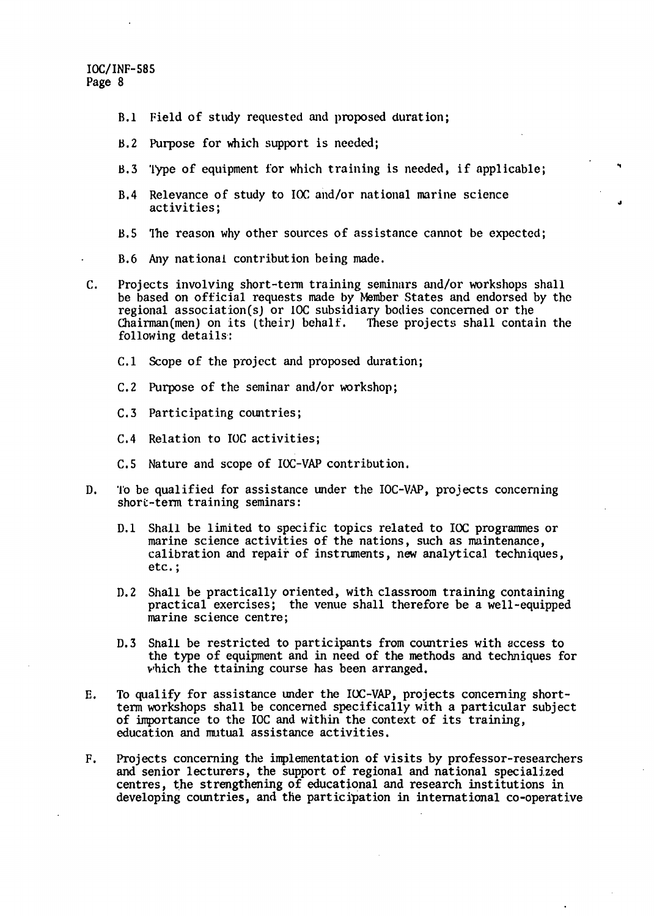- B.l Field of study requested and proposed duration;
- B.2 Purpose for which support is needed;
- B.3 Type of equipment for which training is needed, if applicable;
- B.4 Relevance of study to IOC and/or national marine science activities;
- B.5 The reason why other sources of assistance cannot be expected;
- B. 6 Any national contribution being made.
- C. Projects involving short-term training seminars and/or workshops shall be based on official requests made by Member States and endorsed by the regional association(s) or IOC subsidiary bodies concerned or the Chairman(men) on its (theirj behalf. These projects shall contain the following details:
	- C.l Scope of the project and proposed duration;
	- C.2 Purpose of the seminar and/or workshop;
	- C.3 Participating countries;
	- C.4 Relation to IOC activities;
	- C.5 Nature and scope of IOC-VAP contribution.
- D. To be qualified for assistance under the IOC-VAP, projects concerning short-term training seminars:
	- D.l Shall be limited to specific topics related to IOC programmes or marine science activities of the nations, such as maintenance, calibration and repair of instruments, new analytical techniques, etc. ;
	- D.2 Shall be practically oriented, with classroom training containing practical exercises; the venue shall therefore be a well-equipped marine science centre;
	- D.3 Shall be restricted to participants from countries with access to the type of equipment and in need of the methods and techniques for which the ttaining course has been arranged.
- E. To qualify for assistance under the IOC-VAP, projects concerning shortterm workshops shall be concerned specifically with a particular subject of importance to the IOC and within the context of its training, education and mutual assistance activities.
- F. Projects concerning the implementation of visits by professor-researchers and senior lecturers, the support of regional and national specialized centres, the strengthening of educational and research institutions in developing countries, and the participation in international co-operative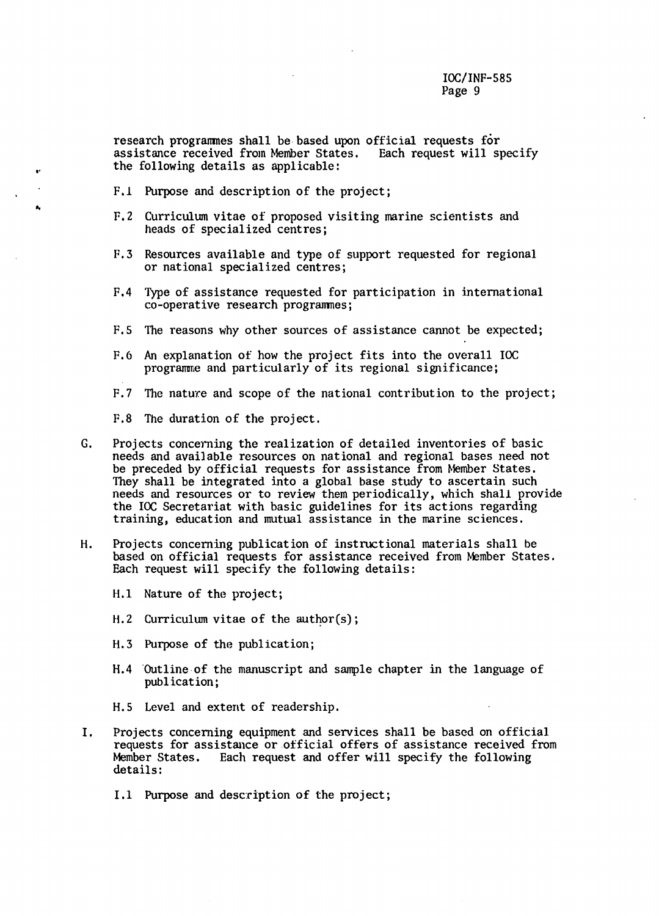research progranmes shall be based upon official requests for assistance received from Member States. Each request will specify the following details as applicable:

- F.l Purpose and description of the project;
- F.2 Curriculum vitae of proposed visiting marine scientists and heads of specialized centres;
- F.3 Resources available and type of support requested for regional or national specialized centres;
- F.4 Type of assistance requested for participation in international co-operative research progranmes;
- F.5 The reasons why other sources of assistance cannot be expected;
- F.6 An explanation of how the project fits into the overall IOC programme and particularly of its regional significance;
- F.7 The nature and scope of the national contribution to the project;
- F.8 The duration of the project.
- G. Projects concerning the realization of detailed inventories of basic needs and available resources on national and regional bases need not be preceded by official requests for assistance from Member States. They shall be integrated into a global base study to ascertain such needs and resources or to review them periodically, which shall provide the IOC Secretariat with basic guidelines for its actions regarding training, education and mutual assistance in the marine sciences.
- H. Projects concerning publication of instructional materials shall be based on official requests for assistance received from Member States. Each request will specify the following details:
	- H.l Nature of the project;
	- H.2 Curriculum vitae of the author(s);
	- H.3 Purpose of the publication;
	- H.4 Outline of the manuscript and sample chapter in the language of publication;
	- H.5 Level and extent of readership.
- I. Projects concerning equipment and services shall be based on official requests for assistance or official offers of assistance received from Member States. Each request and offer will specify the following details:
	- I.1 Purpose and description of the project;